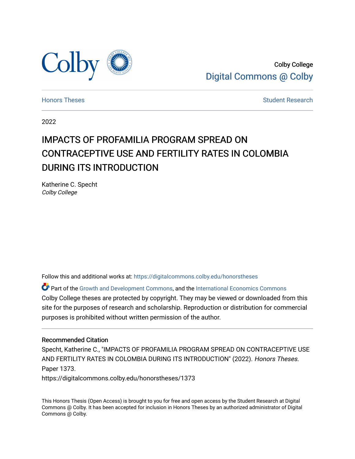

Colby College [Digital Commons @ Colby](https://digitalcommons.colby.edu/) 

[Honors Theses](https://digitalcommons.colby.edu/honorstheses) [Student Research](https://digitalcommons.colby.edu/student_research) and the Student Research Student Research

2022

# IMPACTS OF PROFAMILIA PROGRAM SPREAD ON CONTRACEPTIVE USE AND FERTILITY RATES IN COLOMBIA DURING ITS INTRODUCTION

Katherine C. Specht Colby College

Follow this and additional works at: [https://digitalcommons.colby.edu/honorstheses](https://digitalcommons.colby.edu/honorstheses?utm_source=digitalcommons.colby.edu%2Fhonorstheses%2F1373&utm_medium=PDF&utm_campaign=PDFCoverPages) 

Part of the [Growth and Development Commons,](https://network.bepress.com/hgg/discipline/346?utm_source=digitalcommons.colby.edu%2Fhonorstheses%2F1373&utm_medium=PDF&utm_campaign=PDFCoverPages) and the [International Economics Commons](https://network.bepress.com/hgg/discipline/348?utm_source=digitalcommons.colby.edu%2Fhonorstheses%2F1373&utm_medium=PDF&utm_campaign=PDFCoverPages) Colby College theses are protected by copyright. They may be viewed or downloaded from this site for the purposes of research and scholarship. Reproduction or distribution for commercial purposes is prohibited without written permission of the author.

### Recommended Citation

Specht, Katherine C., "IMPACTS OF PROFAMILIA PROGRAM SPREAD ON CONTRACEPTIVE USE AND FERTILITY RATES IN COLOMBIA DURING ITS INTRODUCTION" (2022). Honors Theses. Paper 1373.

https://digitalcommons.colby.edu/honorstheses/1373

This Honors Thesis (Open Access) is brought to you for free and open access by the Student Research at Digital Commons @ Colby. It has been accepted for inclusion in Honors Theses by an authorized administrator of Digital Commons @ Colby.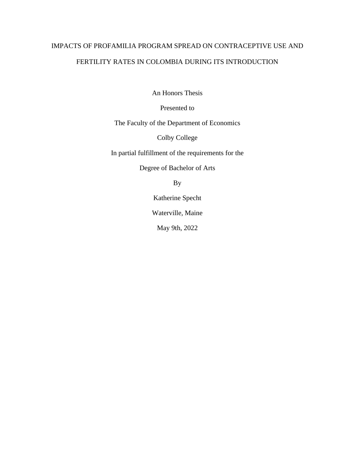# IMPACTS OF PROFAMILIA PROGRAM SPREAD ON CONTRACEPTIVE USE AND FERTILITY RATES IN COLOMBIA DURING ITS INTRODUCTION

An Honors Thesis

Presented to

The Faculty of the Department of Economics

Colby College

In partial fulfillment of the requirements for the

Degree of Bachelor of Arts

By

Katherine Specht

Waterville, Maine

May 9th, 2022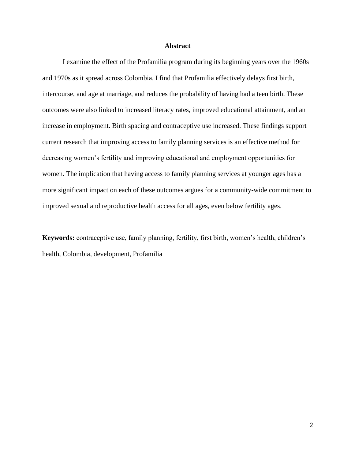## **Abstract**

I examine the effect of the Profamilia program during its beginning years over the 1960s and 1970s as it spread across Colombia. I find that Profamilia effectively delays first birth, intercourse, and age at marriage, and reduces the probability of having had a teen birth. These outcomes were also linked to increased literacy rates, improved educational attainment, and an increase in employment. Birth spacing and contraceptive use increased. These findings support current research that improving access to family planning services is an effective method for decreasing women's fertility and improving educational and employment opportunities for women. The implication that having access to family planning services at younger ages has a more significant impact on each of these outcomes argues for a community-wide commitment to improved sexual and reproductive health access for all ages, even below fertility ages.

**Keywords:** contraceptive use, family planning, fertility, first birth, women's health, children's health, Colombia, development, Profamilia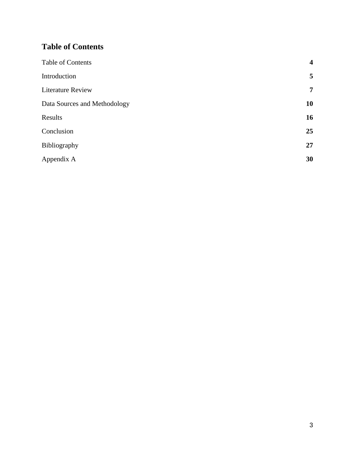# <span id="page-3-0"></span>**Table of Contents**

| Table of Contents            | $\overline{\mathbf{4}}$ |
|------------------------------|-------------------------|
| Introduction                 | 5                       |
| <b>Literature Review</b>     | $\overline{7}$          |
| Data Sources and Methodology | 10                      |
| Results                      | 16                      |
| Conclusion                   | 25                      |
| Bibliography                 | 27                      |
| Appendix A                   | 30                      |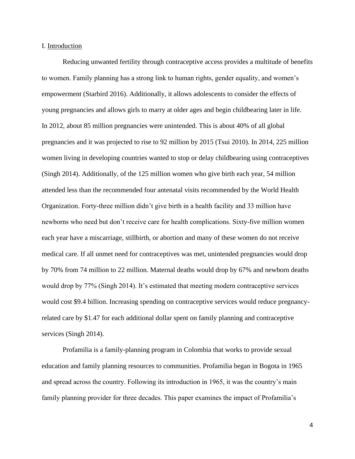### I. Introduction

Reducing unwanted fertility through contraceptive access provides a multitude of benefits to women. Family planning has a strong link to human rights, gender equality, and women's empowerment (Starbird 2016). Additionally, it allows adolescents to consider the effects of young pregnancies and allows girls to marry at older ages and begin childbearing later in life. In 2012, about 85 million pregnancies were unintended. This is about 40% of all global pregnancies and it was projected to rise to 92 million by 2015 (Tsui 2010). In 2014, 225 million women living in developing countries wanted to stop or delay childbearing using contraceptives (Singh 2014). Additionally, of the 125 million women who give birth each year, 54 million attended less than the recommended four antenatal visits recommended by the World Health Organization. Forty-three million didn't give birth in a health facility and 33 million have newborns who need but don't receive care for health complications. Sixty-five million women each year have a miscarriage, stillbirth, or abortion and many of these women do not receive medical care. If all unmet need for contraceptives was met, unintended pregnancies would drop by 70% from 74 million to 22 million. Maternal deaths would drop by 67% and newborn deaths would drop by 77% (Singh 2014). It's estimated that meeting modern contraceptive services would cost \$9.4 billion. Increasing spending on contraceptive services would reduce pregnancyrelated care by \$1.47 for each additional dollar spent on family planning and contraceptive services (Singh 2014).

Profamilia is a family-planning program in Colombia that works to provide sexual education and family planning resources to communities. Profamilia began in Bogota in 1965 and spread across the country. Following its introduction in 1965, it was the country's main family planning provider for three decades. This paper examines the impact of Profamilia's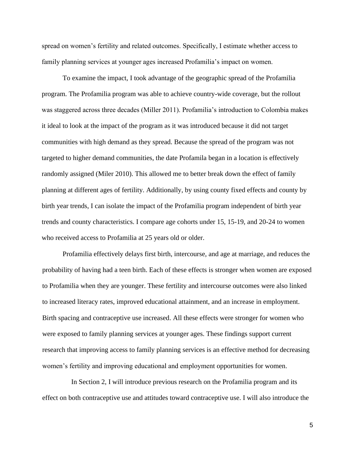spread on women's fertility and related outcomes. Specifically, I estimate whether access to family planning services at younger ages increased Profamilia's impact on women.

To examine the impact, I took advantage of the geographic spread of the Profamilia program. The Profamilia program was able to achieve country-wide coverage, but the rollout was staggered across three decades (Miller 2011). Profamilia's introduction to Colombia makes it ideal to look at the impact of the program as it was introduced because it did not target communities with high demand as they spread. Because the spread of the program was not targeted to higher demand communities, the date Profamila began in a location is effectively randomly assigned (Miler 2010). This allowed me to better break down the effect of family planning at different ages of fertility. Additionally, by using county fixed effects and county by birth year trends, I can isolate the impact of the Profamilia program independent of birth year trends and county characteristics. I compare age cohorts under 15, 15-19, and 20-24 to women who received access to Profamilia at 25 years old or older.

Profamilia effectively delays first birth, intercourse, and age at marriage, and reduces the probability of having had a teen birth. Each of these effects is stronger when women are exposed to Profamilia when they are younger. These fertility and intercourse outcomes were also linked to increased literacy rates, improved educational attainment, and an increase in employment. Birth spacing and contraceptive use increased. All these effects were stronger for women who were exposed to family planning services at younger ages. These findings support current research that improving access to family planning services is an effective method for decreasing women's fertility and improving educational and employment opportunities for women.

 In Section 2, I will introduce previous research on the Profamilia program and its effect on both contraceptive use and attitudes toward contraceptive use. I will also introduce the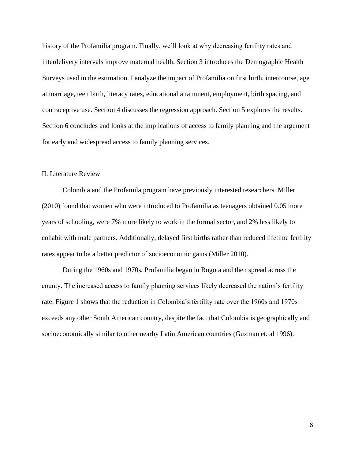history of the Profamilia program. Finally, we'll look at why decreasing fertility rates and interdelivery intervals improve maternal health. Section 3 introduces the Demographic Health Surveys used in the estimation. I analyze the impact of Profamilia on first birth, intercourse, age at marriage, teen birth, literacy rates, educational attainment, employment, birth spacing, and contraceptive use. Section 4 discusses the regression approach. Section 5 explores the results. Section 6 concludes and looks at the implications of access to family planning and the argument for early and widespread access to family planning services.

## II. Literature Review

Colombia and the Profamila program have previously interested researchers. Miller (2010) found that women who were introduced to Profamilia as teenagers obtained 0.05 more years of schooling, were 7% more likely to work in the formal sector, and 2% less likely to cohabit with male partners. Additionally, delayed first births rather than reduced lifetime fertility rates appear to be a better predictor of socioeconomic gains (Miller 2010).

During the 1960s and 1970s, Profamilia began in Bogota and then spread across the county. The increased access to family planning services likely decreased the nation's fertility rate. Figure 1 shows that the reduction in Colombia's fertility rate over the 1960s and 1970s exceeds any other South American country, despite the fact that Colombia is geographically and socioeconomically similar to other nearby Latin American countries (Guzman et. al 1996).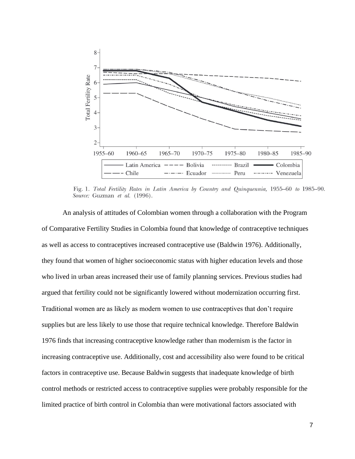

Fig. 1. Total Fertility Rates in Latin America by Country and Quinquennia, 1955–60 to 1985–90. Source: Guzman et al. (1996).

An analysis of attitudes of Colombian women through a collaboration with the Program of Comparative Fertility Studies in Colombia found that knowledge of contraceptive techniques as well as access to contraceptives increased contraceptive use (Baldwin 1976). Additionally, they found that women of higher socioeconomic status with higher education levels and those who lived in urban areas increased their use of family planning services. Previous studies had argued that fertility could not be significantly lowered without modernization occurring first. Traditional women are as likely as modern women to use contraceptives that don't require supplies but are less likely to use those that require technical knowledge. Therefore Baldwin 1976 finds that increasing contraceptive knowledge rather than modernism is the factor in increasing contraceptive use. Additionally, cost and accessibility also were found to be critical factors in contraceptive use. Because Baldwin suggests that inadequate knowledge of birth control methods or restricted access to contraceptive supplies were probably responsible for the limited practice of birth control in Colombia than were motivational factors associated with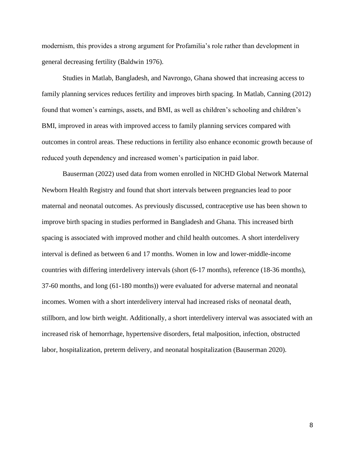modernism, this provides a strong argument for Profamilia's role rather than development in general decreasing fertility (Baldwin 1976).

Studies in Matlab, Bangladesh, and Navrongo, Ghana showed that increasing access to family planning services reduces fertility and improves birth spacing. In Matlab, Canning (2012) found that women's earnings, assets, and BMI, as well as children's schooling and children's BMI, improved in areas with improved access to family planning services compared with outcomes in control areas. These reductions in fertility also enhance economic growth because of reduced youth dependency and increased women's participation in paid labor.

Bauserman (2022) used data from women enrolled in NICHD Global Network Maternal Newborn Health Registry and found that short intervals between pregnancies lead to poor maternal and neonatal outcomes. As previously discussed, contraceptive use has been shown to improve birth spacing in studies performed in Bangladesh and Ghana. This increased birth spacing is associated with improved mother and child health outcomes. A short interdelivery interval is defined as between 6 and 17 months. Women in low and lower-middle-income countries with differing interdelivery intervals (short (6-17 months), reference (18-36 months), 37-60 months, and long (61-180 months)) were evaluated for adverse maternal and neonatal incomes. Women with a short interdelivery interval had increased risks of neonatal death, stillborn, and low birth weight. Additionally, a short interdelivery interval was associated with an increased risk of hemorrhage, hypertensive disorders, fetal malposition, infection, obstructed labor, hospitalization, preterm delivery, and neonatal hospitalization (Bauserman 2020).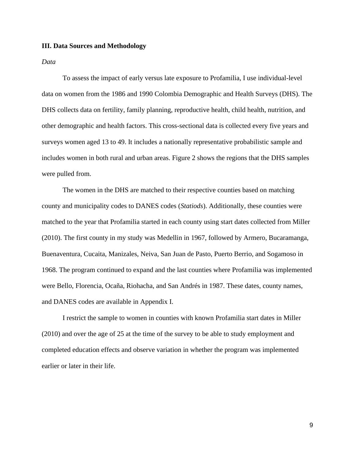# **III. Data Sources and Methodology**

*Data*

To assess the impact of early versus late exposure to Profamilia, I use individual-level data on women from the 1986 and 1990 Colombia Demographic and Health Surveys (DHS). The DHS collects data on fertility, family planning, reproductive health, child health, nutrition, and other demographic and health factors. This cross-sectional data is collected every five years and surveys women aged 13 to 49. It includes a nationally representative probabilistic sample and includes women in both rural and urban areas. Figure 2 shows the regions that the DHS samples were pulled from.

The women in the DHS are matched to their respective counties based on matching county and municipality codes to DANES codes (*Statiods*). Additionally, these counties were matched to the year that Profamilia started in each county using start dates collected from Miller (2010). The first county in my study was Medellin in 1967, followed by Armero, Bucaramanga, Buenaventura, Cucaita, Manizales, Neiva, San Juan de Pasto, Puerto Berrio, and Sogamoso in 1968. The program continued to expand and the last counties where Profamilia was implemented were Bello, Florencia, Ocaña, Riohacha, and San Andrés in 1987. These dates, county names, and DANES codes are available in Appendix I.

I restrict the sample to women in counties with known Profamilia start dates in Miller (2010) and over the age of 25 at the time of the survey to be able to study employment and completed education effects and observe variation in whether the program was implemented earlier or later in their life.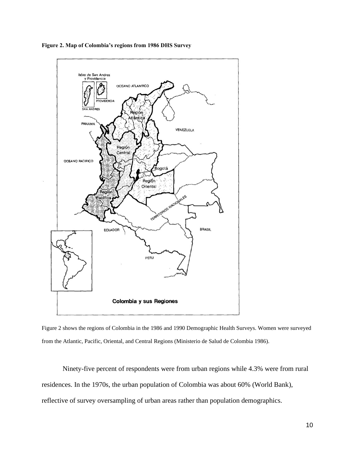

**Figure 2. Map of Colombia's regions from 1986 DHS Survey**

Figure 2 shows the regions of Colombia in the 1986 and 1990 Demographic Health Surveys. Women were surveyed from the Atlantic, Pacific, Oriental, and Central Regions (Ministerio de Salud de Colombia 1986).

Ninety-five percent of respondents were from urban regions while 4.3% were from rural residences. In the 1970s, the urban population of Colombia was about 60% (World Bank), reflective of survey oversampling of urban areas rather than population demographics.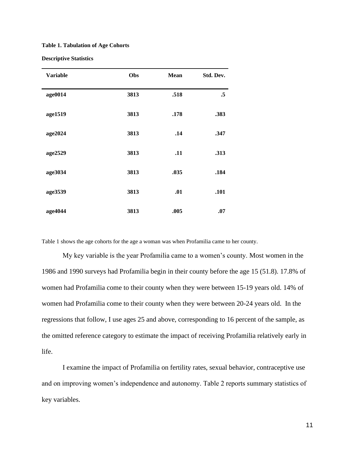#### **Table 1. Tabulation of Age Cohorts**

#### **Descriptive Statistics**

| <b>Variable</b> | Obs  | <b>Mean</b> | Std. Dev. |
|-----------------|------|-------------|-----------|
| age0014         | 3813 | .518        | $\cdot$ 5 |
| age1519         | 3813 | .178        | .383      |
| age2024         | 3813 | .14         | .347      |
| age2529         | 3813 | .11         | .313      |
| age3034         | 3813 | .035        | .184      |
| age3539         | 3813 | .01         | .101      |
| age4044         | 3813 | .005        | .07       |

Table 1 shows the age cohorts for the age a woman was when Profamilia came to her county.

My key variable is the year Profamilia came to a women's county. Most women in the 1986 and 1990 surveys had Profamilia begin in their county before the age 15 (51.8). 17.8% of women had Profamilia come to their county when they were between 15-19 years old. 14% of women had Profamilia come to their county when they were between 20-24 years old. In the regressions that follow, I use ages 25 and above, corresponding to 16 percent of the sample, as the omitted reference category to estimate the impact of receiving Profamilia relatively early in life.

I examine the impact of Profamilia on fertility rates, sexual behavior, contraceptive use and on improving women's independence and autonomy. Table 2 reports summary statistics of key variables.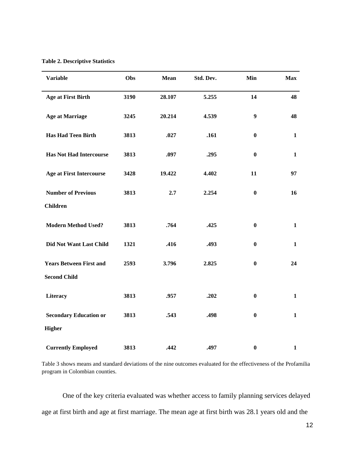**Table 2. Descriptive Statistics** 

| <b>Variable</b>                 | Obs  | <b>Mean</b> | Std. Dev. | Min              | <b>Max</b>   |
|---------------------------------|------|-------------|-----------|------------------|--------------|
| <b>Age at First Birth</b>       | 3190 | 28.107      | 5.255     | 14               | 48           |
| <b>Age at Marriage</b>          | 3245 | 20.214      | 4.539     | $\boldsymbol{9}$ | 48           |
| <b>Has Had Teen Birth</b>       | 3813 | .027        | .161      | $\bf{0}$         | $\mathbf{1}$ |
| <b>Has Not Had Intercourse</b>  | 3813 | .097        | .295      | $\bf{0}$         | $\mathbf{1}$ |
| <b>Age at First Intercourse</b> | 3428 | 19.422      | 4.402     | 11               | 97           |
| <b>Number of Previous</b>       | 3813 | 2.7         | 2.254     | $\bf{0}$         | 16           |
| <b>Children</b>                 |      |             |           |                  |              |
| <b>Modern Method Used?</b>      | 3813 | .764        | .425      | $\bf{0}$         | $\mathbf{1}$ |
| <b>Did Not Want Last Child</b>  | 1321 | .416        | .493      | $\bf{0}$         | $\mathbf{1}$ |
| <b>Years Between First and</b>  | 2593 | 3.796       | 2.825     | $\bf{0}$         | 24           |
| <b>Second Child</b>             |      |             |           |                  |              |
| Literacy                        | 3813 | .957        | .202      | $\bf{0}$         | $\mathbf{1}$ |
| <b>Secondary Education or</b>   | 3813 | .543        | .498      | $\bf{0}$         | $\mathbf{1}$ |
| <b>Higher</b>                   |      |             |           |                  |              |
| <b>Currently Employed</b>       | 3813 | .442        | .497      | $\boldsymbol{0}$ | $\mathbf{1}$ |

Table 3 shows means and standard deviations of the nine outcomes evaluated for the effectiveness of the Profamilia program in Colombian counties.

One of the key criteria evaluated was whether access to family planning services delayed age at first birth and age at first marriage. The mean age at first birth was 28.1 years old and the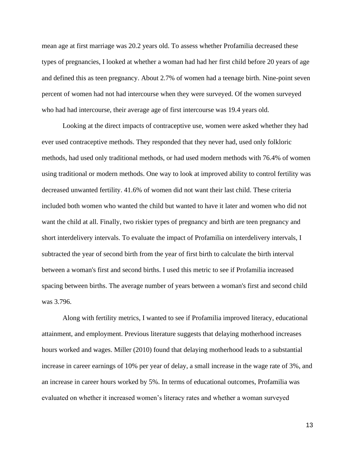mean age at first marriage was 20.2 years old. To assess whether Profamilia decreased these types of pregnancies, I looked at whether a woman had had her first child before 20 years of age and defined this as teen pregnancy. About 2.7% of women had a teenage birth. Nine-point seven percent of women had not had intercourse when they were surveyed. Of the women surveyed who had had intercourse, their average age of first intercourse was 19.4 years old.

Looking at the direct impacts of contraceptive use, women were asked whether they had ever used contraceptive methods. They responded that they never had, used only folkloric methods, had used only traditional methods, or had used modern methods with 76.4% of women using traditional or modern methods. One way to look at improved ability to control fertility was decreased unwanted fertility. 41.6% of women did not want their last child. These criteria included both women who wanted the child but wanted to have it later and women who did not want the child at all. Finally, two riskier types of pregnancy and birth are teen pregnancy and short interdelivery intervals. To evaluate the impact of Profamilia on interdelivery intervals, I subtracted the year of second birth from the year of first birth to calculate the birth interval between a woman's first and second births. I used this metric to see if Profamilia increased spacing between births. The average number of years between a woman's first and second child was 3.796.

Along with fertility metrics, I wanted to see if Profamilia improved literacy, educational attainment, and employment. Previous literature suggests that delaying motherhood increases hours worked and wages. Miller (2010) found that delaying motherhood leads to a substantial increase in career earnings of 10% per year of delay, a small increase in the wage rate of 3%, and an increase in career hours worked by 5%. In terms of educational outcomes, Profamilia was evaluated on whether it increased women's literacy rates and whether a woman surveyed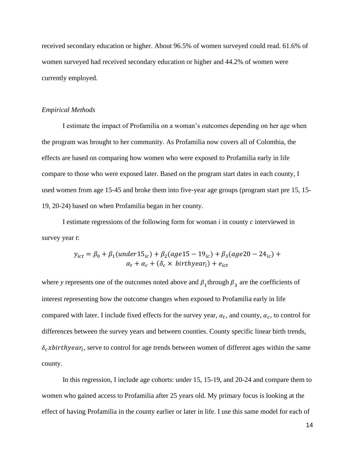received secondary education or higher. About 96.5% of women surveyed could read. 61.6% of women surveyed had received secondary education or higher and 44.2% of women were currently employed.

# *Empirical Methods*

I estimate the impact of Profamilia on a woman's outcomes depending on her age when the program was brought to her community. As Profamilia now covers all of Colombia, the effects are based on comparing how women who were exposed to Profamilia early in life compare to those who were exposed later. Based on the program start dates in each county, I used women from age 15-45 and broke them into five-year age groups (program start pre 15, 15- 19, 20-24) based on when Profamilia began in her county.

I estimate regressions of the following form for woman *i* in county *c* interviewed in survey year *t*:

$$
y_{ict} = \beta_0 + \beta_1 (under15_{ic}) + \beta_2 (age15 - 19_{ic}) + \beta_3 (age20 - 24_{ic}) + \alpha_t + \alpha_c + (\delta_c \times \text{birthyear}_i) + e_{ict}
$$

where *y* represents one of the outcomes noted above and  $\beta_1$  through  $\beta_3$  are the coefficients of interest representing how the outcome changes when exposed to Profamilia early in life compared with later. I include fixed effects for the survey year,  $\alpha_t$ , and county,  $\alpha_c$ , to control for differences between the survey years and between counties. County specific linear birth trends,  $\delta_c$ xbirthyear<sub>i</sub>, serve to control for age trends between women of different ages within the same county.

In this regression, I include age cohorts: under 15, 15-19, and 20-24 and compare them to women who gained access to Profamilia after 25 years old. My primary focus is looking at the effect of having Profamilia in the county earlier or later in life. I use this same model for each of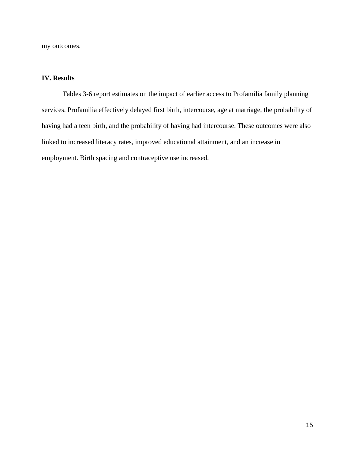my outcomes.

# **IV. Results**

Tables 3-6 report estimates on the impact of earlier access to Profamilia family planning services. Profamilia effectively delayed first birth, intercourse, age at marriage, the probability of having had a teen birth, and the probability of having had intercourse. These outcomes were also linked to increased literacy rates, improved educational attainment, and an increase in employment. Birth spacing and contraceptive use increased.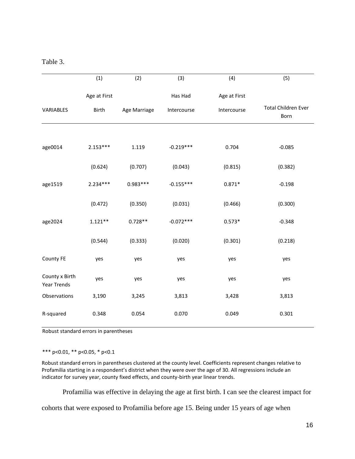| Table |  |
|-------|--|
|       |  |

|                               | (1)          | (2)          | (3)         | (4)          | (5)                                |
|-------------------------------|--------------|--------------|-------------|--------------|------------------------------------|
|                               | Age at First |              | Has Had     | Age at First |                                    |
| VARIABLES                     | Birth        | Age Marriage | Intercourse | Intercourse  | <b>Total Children Ever</b><br>Born |
|                               |              |              |             |              |                                    |
| age0014                       | $2.153***$   | 1.119        | $-0.219***$ | 0.704        | $-0.085$                           |
|                               | (0.624)      | (0.707)      | (0.043)     | (0.815)      | (0.382)                            |
| age1519                       | $2.234***$   | $0.983***$   | $-0.155***$ | $0.871*$     | $-0.198$                           |
|                               | (0.472)      | (0.350)      | (0.031)     | (0.466)      | (0.300)                            |
| age2024                       | $1.121**$    | $0.728**$    | $-0.072***$ | $0.573*$     | $-0.348$                           |
|                               | (0.544)      | (0.333)      | (0.020)     | (0.301)      | (0.218)                            |
| County FE                     | yes          | yes          | yes         | yes          | yes                                |
| County x Birth<br>Year Trends | yes          | yes          | yes         | yes          | yes                                |
| Observations                  | 3,190        | 3,245        | 3,813       | 3,428        | 3,813                              |
| R-squared                     | 0.348        | 0.054        | 0.070       | 0.049        | 0.301                              |

Robust standard errors in parentheses

\*\*\* p<0.01, \*\* p<0.05, \* p<0.1

Robust standard errors in parentheses clustered at the county level. Coefficients represent changes relative to Profamilia starting in a respondent's district when they were over the age of 30. All regressions include an indicator for survey year, county fixed effects, and county-birth year linear trends.

Profamilia was effective in delaying the age at first birth. I can see the clearest impact for

cohorts that were exposed to Profamilia before age 15. Being under 15 years of age when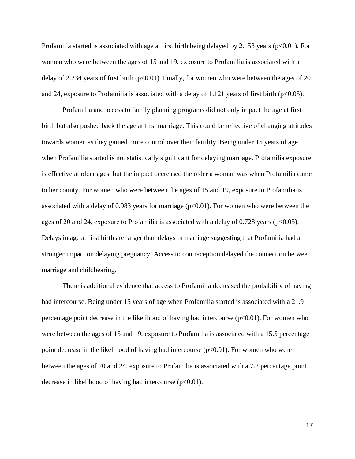Profamilia started is associated with age at first birth being delayed by 2.153 years (p<0.01). For women who were between the ages of 15 and 19, exposure to Profamilia is associated with a delay of 2.234 years of first birth ( $p<0.01$ ). Finally, for women who were between the ages of 20 and 24, exposure to Profamilia is associated with a delay of 1.121 years of first birth ( $p<0.05$ ).

Profamilia and access to family planning programs did not only impact the age at first birth but also pushed back the age at first marriage. This could be reflective of changing attitudes towards women as they gained more control over their fertility. Being under 15 years of age when Profamilia started is not statistically significant for delaying marriage. Profamilia exposure is effective at older ages, but the impact decreased the older a woman was when Profamilia came to her county. For women who were between the ages of 15 and 19, exposure to Profamilia is associated with a delay of 0.983 years for marriage  $(p<0.01)$ . For women who were between the ages of 20 and 24, exposure to Profamilia is associated with a delay of 0.728 years ( $p<0.05$ ). Delays in age at first birth are larger than delays in marriage suggesting that Profamilia had a stronger impact on delaying pregnancy. Access to contraception delayed the connection between marriage and childbearing.

There is additional evidence that access to Profamilia decreased the probability of having had intercourse. Being under 15 years of age when Profamilia started is associated with a 21.9 percentage point decrease in the likelihood of having had intercourse  $(p<0.01)$ . For women who were between the ages of 15 and 19, exposure to Profamilia is associated with a 15.5 percentage point decrease in the likelihood of having had intercourse  $(p<0.01)$ . For women who were between the ages of 20 and 24, exposure to Profamilia is associated with a 7.2 percentage point decrease in likelihood of having had intercourse  $(p<0.01)$ .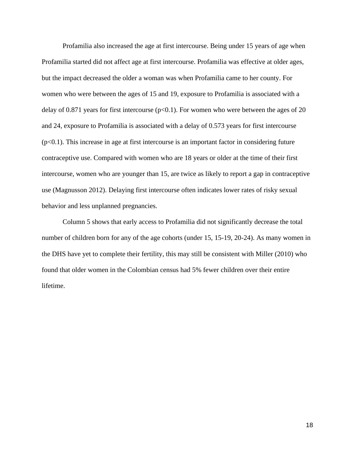Profamilia also increased the age at first intercourse. Being under 15 years of age when Profamilia started did not affect age at first intercourse. Profamilia was effective at older ages, but the impact decreased the older a woman was when Profamilia came to her county. For women who were between the ages of 15 and 19, exposure to Profamilia is associated with a delay of 0.871 years for first intercourse ( $p<0.1$ ). For women who were between the ages of 20 and 24, exposure to Profamilia is associated with a delay of 0.573 years for first intercourse  $(p<0.1)$ . This increase in age at first intercourse is an important factor in considering future contraceptive use. Compared with women who are 18 years or older at the time of their first intercourse, women who are younger than 15, are twice as likely to report a gap in contraceptive use (Magnusson 2012). Delaying first intercourse often indicates lower rates of risky sexual behavior and less unplanned pregnancies.

Column 5 shows that early access to Profamilia did not significantly decrease the total number of children born for any of the age cohorts (under 15, 15-19, 20-24). As many women in the DHS have yet to complete their fertility, this may still be consistent with Miller (2010) who found that older women in the Colombian census had 5% fewer children over their entire lifetime.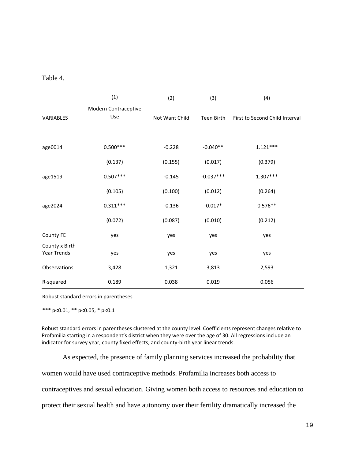Table 4.

|                               | (1)                  | (2)            | (3)         | (4)                            |
|-------------------------------|----------------------|----------------|-------------|--------------------------------|
|                               | Modern Contraceptive |                |             |                                |
| VARIABLES                     | Use                  | Not Want Child | Teen Birth  | First to Second Child Interval |
|                               |                      |                |             |                                |
| age0014                       | $0.500***$           | $-0.228$       | $-0.040**$  | $1.121***$                     |
|                               | (0.137)              | (0.155)        | (0.017)     | (0.379)                        |
| age1519                       | $0.507***$           | $-0.145$       | $-0.037***$ | $1.307***$                     |
|                               | (0.105)              | (0.100)        | (0.012)     | (0.264)                        |
| age2024                       | $0.311***$           | $-0.136$       | $-0.017*$   | $0.576**$                      |
|                               | (0.072)              | (0.087)        | (0.010)     | (0.212)                        |
| County FE                     | yes                  | yes            | yes         | yes                            |
| County x Birth<br>Year Trends | yes                  | yes            | yes         | yes                            |
| Observations                  | 3,428                | 1,321          | 3,813       | 2,593                          |
| R-squared                     | 0.189                | 0.038          | 0.019       | 0.056                          |

Robust standard errors in parentheses

\*\*\* p<0.01, \*\* p<0.05, \* p<0.1

Robust standard errors in parentheses clustered at the county level. Coefficients represent changes relative to Profamilia starting in a respondent's district when they were over the age of 30. All regressions include an indicator for survey year, county fixed effects, and county-birth year linear trends.

As expected, the presence of family planning services increased the probability that

women would have used contraceptive methods. Profamilia increases both access to

contraceptives and sexual education. Giving women both access to resources and education to

protect their sexual health and have autonomy over their fertility dramatically increased the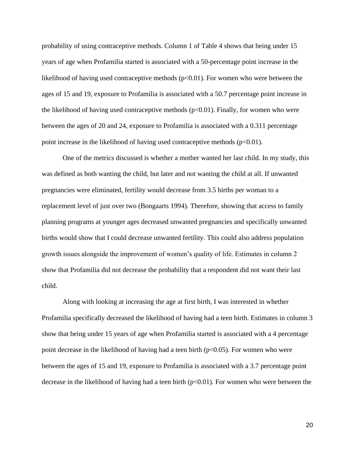probability of using contraceptive methods. Column 1 of Table 4 shows that being under 15 years of age when Profamilia started is associated with a 50-percentage point increase in the likelihood of having used contraceptive methods  $(p<0.01)$ . For women who were between the ages of 15 and 19, exposure to Profamilia is associated with a 50.7 percentage point increase in the likelihood of having used contraceptive methods  $(p<0.01)$ . Finally, for women who were between the ages of 20 and 24, exposure to Profamilia is associated with a 0.311 percentage point increase in the likelihood of having used contraceptive methods  $(p<0.01)$ .

One of the metrics discussed is whether a mother wanted her last child. In my study, this was defined as both wanting the child, but later and not wanting the child at all. If unwanted pregnancies were eliminated, fertility would decrease from 3.5 births per woman to a replacement level of just over two (Bongaarts 1994). Therefore, showing that access to family planning programs at younger ages decreased unwanted pregnancies and specifically unwanted births would show that I could decrease unwanted fertility. This could also address population growth issues alongside the improvement of women's quality of life. Estimates in column 2 show that Profamilia did not decrease the probability that a respondent did not want their last child.

Along with looking at increasing the age at first birth, I was interested in whether Profamilia specifically decreased the likelihood of having had a teen birth. Estimates in column 3 show that being under 15 years of age when Profamilia started is associated with a 4 percentage point decrease in the likelihood of having had a teen birth  $(p<0.05)$ . For women who were between the ages of 15 and 19, exposure to Profamilia is associated with a 3.7 percentage point decrease in the likelihood of having had a teen birth  $(p<0.01)$ . For women who were between the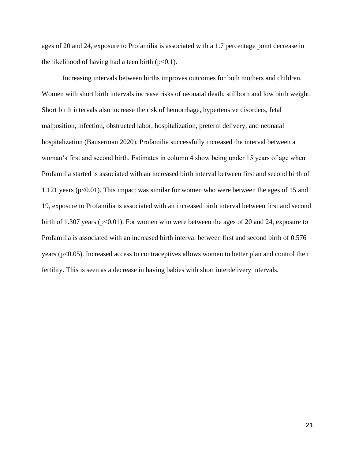ages of 20 and 24, exposure to Profamilia is associated with a 1.7 percentage point decrease in the likelihood of having had a teen birth  $(p<0.1)$ .

Increasing intervals between births improves outcomes for both mothers and children. Women with short birth intervals increase risks of neonatal death, stillborn and low birth weight. Short birth intervals also increase the risk of hemorrhage, hypertensive disorders, fetal malposition, infection, obstructed labor, hospitalization, preterm delivery, and neonatal hospitalization (Bauserman 2020). Profamilia successfully increased the interval between a woman's first and second birth. Estimates in column 4 show being under 15 years of age when Profamilia started is associated with an increased birth interval between first and second birth of 1.121 years ( $p<0.01$ ). This impact was similar for women who were between the ages of 15 and 19, exposure to Profamilia is associated with an increased birth interval between first and second birth of 1.307 years ( $p<0.01$ ). For women who were between the ages of 20 and 24, exposure to Profamilia is associated with an increased birth interval between first and second birth of 0.576 years ( $p<0.05$ ). Increased access to contraceptives allows women to better plan and control their fertility. This is seen as a decrease in having babies with short interdelivery intervals.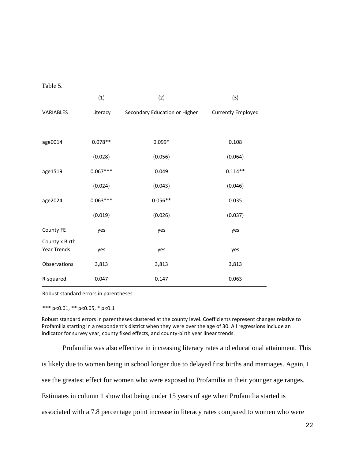Table 5.

|                               | (1)        | (2)                           | (3)                       |
|-------------------------------|------------|-------------------------------|---------------------------|
| VARIABLES                     | Literacy   | Secondary Education or Higher | <b>Currently Employed</b> |
|                               |            |                               |                           |
| age0014                       | $0.078**$  | $0.099*$                      | 0.108                     |
|                               | (0.028)    | (0.056)                       | (0.064)                   |
| age1519                       | $0.067***$ | 0.049                         | $0.114**$                 |
|                               | (0.024)    | (0.043)                       | (0.046)                   |
| age2024                       | $0.063***$ | $0.056**$                     | 0.035                     |
|                               | (0.019)    | (0.026)                       | (0.037)                   |
| County FE                     | yes        | yes                           | yes                       |
| County x Birth<br>Year Trends | yes        | yes                           | yes                       |
| Observations                  | 3,813      | 3,813                         | 3,813                     |
| R-squared                     | 0.047      | 0.147                         | 0.063                     |

Robust standard errors in parentheses

\*\*\* p<0.01, \*\* p<0.05, \* p<0.1

Robust standard errors in parentheses clustered at the county level. Coefficients represent changes relative to Profamilia starting in a respondent's district when they were over the age of 30. All regressions include an indicator for survey year, county fixed effects, and county-birth year linear trends.

Profamilia was also effective in increasing literacy rates and educational attainment. This

is likely due to women being in school longer due to delayed first births and marriages. Again, I

see the greatest effect for women who were exposed to Profamilia in their younger age ranges.

Estimates in column 1 show that being under 15 years of age when Profamilia started is

associated with a 7.8 percentage point increase in literacy rates compared to women who were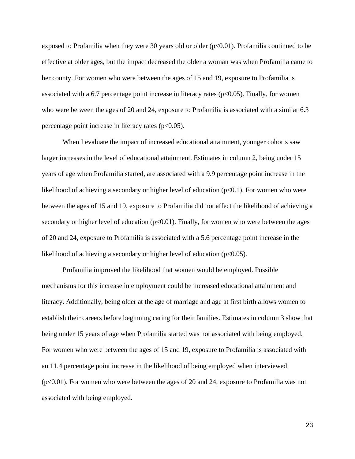exposed to Profamilia when they were 30 years old or older  $(p<0.01)$ . Profamilia continued to be effective at older ages, but the impact decreased the older a woman was when Profamilia came to her county. For women who were between the ages of 15 and 19, exposure to Profamilia is associated with a 6.7 percentage point increase in literacy rates ( $p<0.05$ ). Finally, for women who were between the ages of 20 and 24, exposure to Profamilia is associated with a similar 6.3 percentage point increase in literacy rates  $(p<0.05)$ .

When I evaluate the impact of increased educational attainment, younger cohorts saw larger increases in the level of educational attainment. Estimates in column 2, being under 15 years of age when Profamilia started, are associated with a 9.9 percentage point increase in the likelihood of achieving a secondary or higher level of education  $(p<0.1)$ . For women who were between the ages of 15 and 19, exposure to Profamilia did not affect the likelihood of achieving a secondary or higher level of education ( $p<0.01$ ). Finally, for women who were between the ages of 20 and 24, exposure to Profamilia is associated with a 5.6 percentage point increase in the likelihood of achieving a secondary or higher level of education ( $p<0.05$ ).

Profamilia improved the likelihood that women would be employed. Possible mechanisms for this increase in employment could be increased educational attainment and literacy. Additionally, being older at the age of marriage and age at first birth allows women to establish their careers before beginning caring for their families. Estimates in column 3 show that being under 15 years of age when Profamilia started was not associated with being employed. For women who were between the ages of 15 and 19, exposure to Profamilia is associated with an 11.4 percentage point increase in the likelihood of being employed when interviewed (p<0.01). For women who were between the ages of 20 and 24, exposure to Profamilia was not associated with being employed.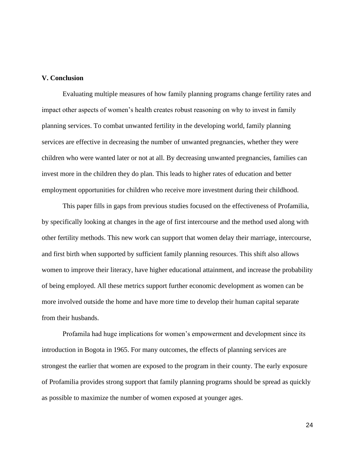## **V. Conclusion**

Evaluating multiple measures of how family planning programs change fertility rates and impact other aspects of women's health creates robust reasoning on why to invest in family planning services. To combat unwanted fertility in the developing world, family planning services are effective in decreasing the number of unwanted pregnancies, whether they were children who were wanted later or not at all. By decreasing unwanted pregnancies, families can invest more in the children they do plan. This leads to higher rates of education and better employment opportunities for children who receive more investment during their childhood.

This paper fills in gaps from previous studies focused on the effectiveness of Profamilia, by specifically looking at changes in the age of first intercourse and the method used along with other fertility methods. This new work can support that women delay their marriage, intercourse, and first birth when supported by sufficient family planning resources. This shift also allows women to improve their literacy, have higher educational attainment, and increase the probability of being employed. All these metrics support further economic development as women can be more involved outside the home and have more time to develop their human capital separate from their husbands.

Profamila had huge implications for women's empowerment and development since its introduction in Bogota in 1965. For many outcomes, the effects of planning services are strongest the earlier that women are exposed to the program in their county. The early exposure of Profamilia provides strong support that family planning programs should be spread as quickly as possible to maximize the number of women exposed at younger ages.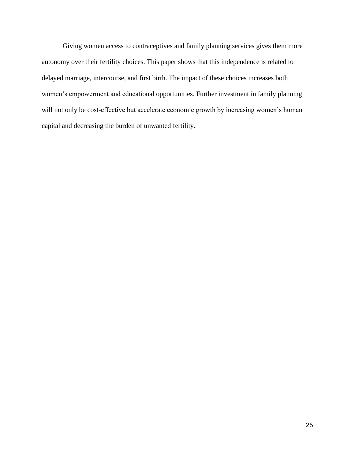Giving women access to contraceptives and family planning services gives them more autonomy over their fertility choices. This paper shows that this independence is related to delayed marriage, intercourse, and first birth. The impact of these choices increases both women's empowerment and educational opportunities. Further investment in family planning will not only be cost-effective but accelerate economic growth by increasing women's human capital and decreasing the burden of unwanted fertility.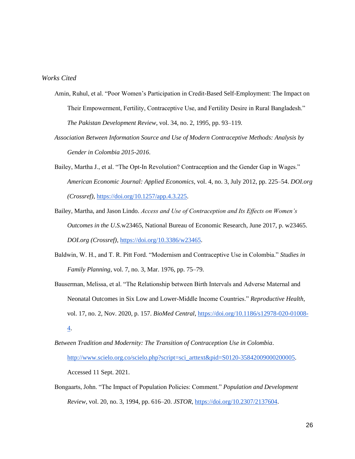### *Works Cited*

- Amin, Ruhul, et al. "Poor Women's Participation in Credit-Based Self-Employment: The Impact on Their Empowerment, Fertility, Contraceptive Use, and Fertility Desire in Rural Bangladesh." *The Pakistan Development Review*, vol. 34, no. 2, 1995, pp. 93–119.
- *Association Between Information Source and Use of Modern Contraceptive Methods: Analysis by Gender in Colombia 2015-2016*.
- Bailey, Martha J., et al. "The Opt-In Revolution? Contraception and the Gender Gap in Wages." *American Economic Journal: Applied Economics*, vol. 4, no. 3, July 2012, pp. 225–54. *DOI.org (Crossref)*[, https://doi.org/10.1257/app.4.3.225.](https://doi.org/10.1257/app.4.3.225)
- Bailey, Martha, and Jason Lindo. *Access and Use of Contraception and Its Effects on Women's Outcomes in the U.S.*w23465, National Bureau of Economic Research, June 2017, p. w23465. *DOI.org (Crossref)*, [https://doi.org/10.3386/w23465.](https://doi.org/10.3386/w23465)
- Baldwin, W. H., and T. R. Pitt Ford. "Modernism and Contraceptive Use in Colombia." *Studies in Family Planning*, vol. 7, no. 3, Mar. 1976, pp. 75–79.
- Bauserman, Melissa, et al. "The Relationship between Birth Intervals and Adverse Maternal and Neonatal Outcomes in Six Low and Lower-Middle Income Countries." *Reproductive Health*, vol. 17, no. 2, Nov. 2020, p. 157. *BioMed Central*, [https://doi.org/10.1186/s12978-020-01008-](https://doi.org/10.1186/s12978-020-01008-4) [4.](https://doi.org/10.1186/s12978-020-01008-4)
- *Between Tradition and Modernity: The Transition of Contraception Use in Colombia*. [http://www.scielo.org.co/scielo.php?script=sci\\_arttext&pid=S0120-35842009000200005.](http://www.scielo.org.co/scielo.php?script=sci_arttext&pid=S0120-35842009000200005) Accessed 11 Sept. 2021.
- Bongaarts, John. "The Impact of Population Policies: Comment." *Population and Development Review*, vol. 20, no. 3, 1994, pp. 616–20. *JSTOR*, [https://doi.org/10.2307/2137604.](https://doi.org/10.2307/2137604)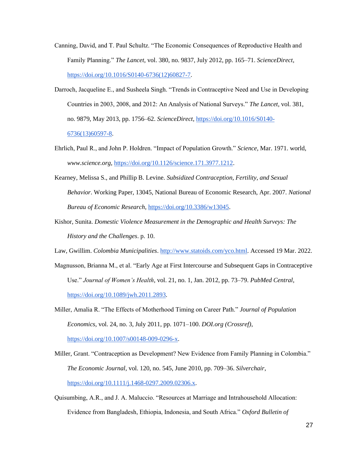- Canning, David, and T. Paul Schultz. "The Economic Consequences of Reproductive Health and Family Planning." *The Lancet*, vol. 380, no. 9837, July 2012, pp. 165–71. *ScienceDirect*, [https://doi.org/10.1016/S0140-6736\(12\)60827-7.](https://doi.org/10.1016/S0140-6736(12)60827-7)
- Darroch, Jacqueline E., and Susheela Singh. "Trends in Contraceptive Need and Use in Developing Countries in 2003, 2008, and 2012: An Analysis of National Surveys." *The Lancet*, vol. 381, no. 9879, May 2013, pp. 1756–62. *ScienceDirect*, [https://doi.org/10.1016/S0140-](https://doi.org/10.1016/S0140-6736(13)60597-8) [6736\(13\)60597-8.](https://doi.org/10.1016/S0140-6736(13)60597-8)
- Ehrlich, Paul R., and John P. Holdren. "Impact of Population Growth." *Science*, Mar. 1971. world, *www.science.org*[, https://doi.org/10.1126/science.171.3977.1212.](https://doi.org/10.1126/science.171.3977.1212)
- Kearney, Melissa S., and Phillip B. Levine. *Subsidized Contraception, Fertility, and Sexual Behavior*. Working Paper, 13045, National Bureau of Economic Research, Apr. 2007. *National Bureau of Economic Research*[, https://doi.org/10.3386/w13045.](https://doi.org/10.3386/w13045)
- Kishor, Sunita. *Domestic Violence Measurement in the Demographic and Health Surveys: The History and the Challenges*. p. 10.
- Law, Gwillim. *Colombia Municipalities*. [http://www.statoids.com/yco.html.](http://www.statoids.com/yco.html) Accessed 19 Mar. 2022.
- Magnusson, Brianna M., et al. "Early Age at First Intercourse and Subsequent Gaps in Contraceptive Use." *Journal of Women's Health*, vol. 21, no. 1, Jan. 2012, pp. 73–79. *PubMed Central*, [https://doi.org/10.1089/jwh.2011.2893.](https://doi.org/10.1089/jwh.2011.2893)
- Miller, Amalia R. "The Effects of Motherhood Timing on Career Path." *Journal of Population Economics*, vol. 24, no. 3, July 2011, pp. 1071–100. *DOI.org (Crossref)*, [https://doi.org/10.1007/s00148-009-0296-x.](https://doi.org/10.1007/s00148-009-0296-x)
- Miller, Grant. "Contraception as Development? New Evidence from Family Planning in Colombia." *The Economic Journal*, vol. 120, no. 545, June 2010, pp. 709–36. *Silverchair*, [https://doi.org/10.1111/j.1468-0297.2009.02306.x.](https://doi.org/10.1111/j.1468-0297.2009.02306.x)
- Quisumbing, A.R., and J. A. Maluccio. "Resources at Marriage and Intrahousehold Allocation: Evidence from Bangladesh, Ethiopia, Indonesia, and South Africa." *Oxford Bulletin of*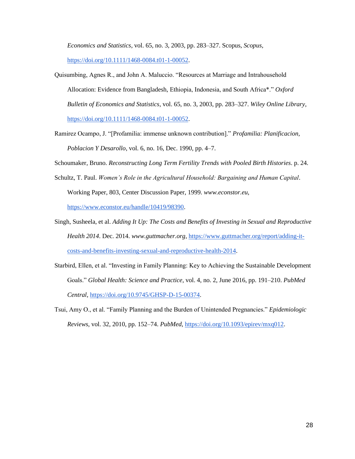*Economics and Statistics*, vol. 65, no. 3, 2003, pp. 283–327. Scopus, *Scopus*,

[https://doi.org/10.1111/1468-0084.t01-1-00052.](https://doi.org/10.1111/1468-0084.t01-1-00052)

- Quisumbing, Agnes R., and John A. Maluccio. "Resources at Marriage and Intrahousehold Allocation: Evidence from Bangladesh, Ethiopia, Indonesia, and South Africa\*." *Oxford Bulletin of Economics and Statistics*, vol. 65, no. 3, 2003, pp. 283–327. *Wiley Online Library*, [https://doi.org/10.1111/1468-0084.t01-1-00052.](https://doi.org/10.1111/1468-0084.t01-1-00052)
- Ramirez Ocampo, J. "[Profamilia: immense unknown contribution]." *Profamilia: Planificacion, Poblacion Y Desarollo*, vol. 6, no. 16, Dec. 1990, pp. 4–7.

Schoumaker, Bruno. *Reconstructing Long Term Fertility Trends with Pooled Birth Histories*. p. 24.

- Schultz, T. Paul. *Women's Role in the Agricultural Household: Bargaining and Human Capital*. Working Paper, 803, Center Discussion Paper, 1999. *www.econstor.eu*, [https://www.econstor.eu/handle/10419/98390.](https://www.econstor.eu/handle/10419/98390)
- Singh, Susheela, et al. *Adding It Up: The Costs and Benefits of Investing in Sexual and Reproductive Health 2014*. Dec. 2014. *www.guttmacher.org*, [https://www.guttmacher.org/report/adding-it](https://www.guttmacher.org/report/adding-it-costs-and-benefits-investing-sexual-and-reproductive-health-2014)[costs-and-benefits-investing-sexual-and-reproductive-health-2014.](https://www.guttmacher.org/report/adding-it-costs-and-benefits-investing-sexual-and-reproductive-health-2014)
- Starbird, Ellen, et al. "Investing in Family Planning: Key to Achieving the Sustainable Development Goals." *Global Health: Science and Practice*, vol. 4, no. 2, June 2016, pp. 191–210. *PubMed Central*, [https://doi.org/10.9745/GHSP-D-15-00374.](https://doi.org/10.9745/GHSP-D-15-00374)
- Tsui, Amy O., et al. "Family Planning and the Burden of Unintended Pregnancies." *Epidemiologic Reviews*, vol. 32, 2010, pp. 152–74. *PubMed*, [https://doi.org/10.1093/epirev/mxq012.](https://doi.org/10.1093/epirev/mxq012)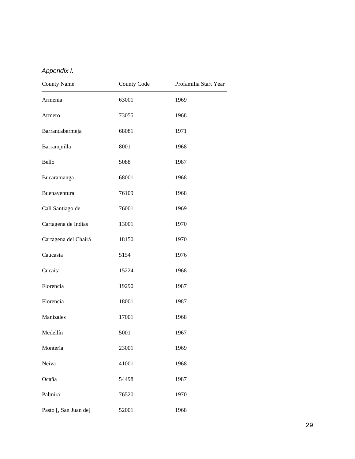# *Appendix I.*

| <b>County Name</b>    | <b>County Code</b> | Profamilia Start Year |
|-----------------------|--------------------|-----------------------|
| Armenia               | 63001              | 1969                  |
| Armero                | 73055              | 1968                  |
| Barrancabermeja       | 68081              | 1971                  |
| Barranquilla          | 8001               | 1968                  |
| Bello                 | 5088               | 1987                  |
| Bucaramanga           | 68001              | 1968                  |
| Buenaventura          | 76109              | 1968                  |
| Cali Santiago de      | 76001              | 1969                  |
| Cartagena de Indias   | 13001              | 1970                  |
| Cartagena del Chairá  | 18150              | 1970                  |
| Caucasia              | 5154               | 1976                  |
| Cucaita               | 15224              | 1968                  |
| Florencia             | 19290              | 1987                  |
| Florencia             | 18001              | 1987                  |
| Manizales             | 17001              | 1968                  |
| Medellín              | 5001               | 1967                  |
| Montería              | 23001              | 1969                  |
| Neiva                 | 41001              | 1968                  |
| Ocaña                 | 54498              | 1987                  |
| Palmira               | 76520              | 1970                  |
| Pasto [, San Juan de] | 52001              | 1968                  |